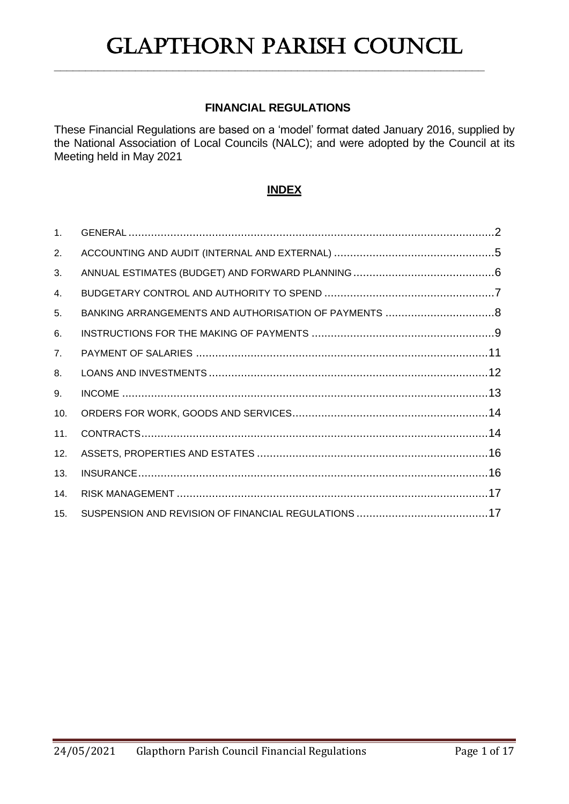## **FINANCIAL REGULATIONS**

**\_\_\_\_\_\_\_\_\_\_\_\_\_\_\_\_\_\_\_\_\_\_\_\_\_\_\_\_\_\_\_\_\_\_\_\_\_\_\_\_\_\_\_\_\_\_\_\_\_\_\_\_\_\_\_\_\_\_\_\_\_\_\_\_\_\_\_\_\_**

These Financial Regulations are based on a 'model' format dated January 2016, supplied by the National Association of Local Councils (NALC); and were adopted by the Council at its Meeting held in May 2021

## **INDEX**

| 1 <sub>1</sub> |  |
|----------------|--|
| 2.             |  |
| 3.             |  |
| 4.             |  |
| 5.             |  |
| 6.             |  |
| 7.             |  |
| 8.             |  |
| 9.             |  |
| 10.            |  |
| 11.            |  |
| 12.            |  |
| 13.            |  |
| 14.            |  |
| 15.            |  |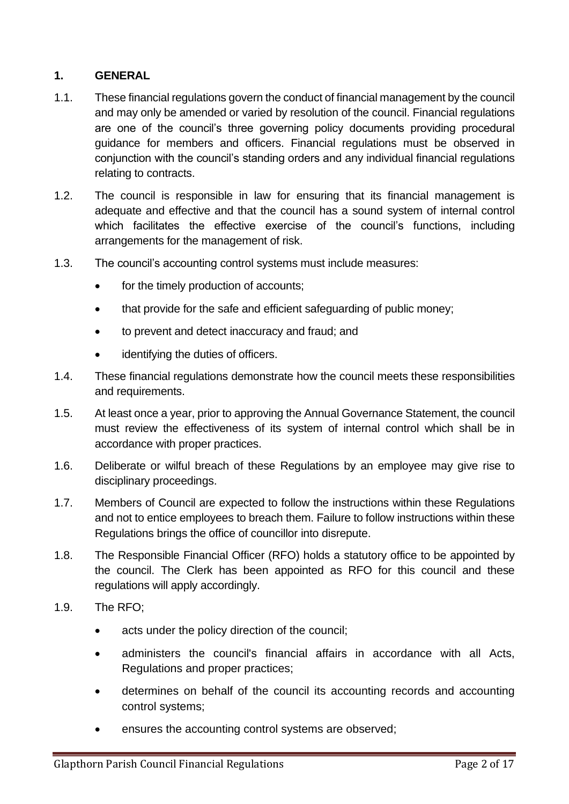## <span id="page-1-0"></span>**1. GENERAL**

- 1.1. These financial regulations govern the conduct of financial management by the council and may only be amended or varied by resolution of the council. Financial regulations are one of the council's three governing policy documents providing procedural guidance for members and officers. Financial regulations must be observed in conjunction with the council's standing orders and any individual financial regulations relating to contracts.
- 1.2. The council is responsible in law for ensuring that its financial management is adequate and effective and that the council has a sound system of internal control which facilitates the effective exercise of the council's functions, including arrangements for the management of risk.
- 1.3. The council's accounting control systems must include measures:
	- for the timely production of accounts;
	- that provide for the safe and efficient safeguarding of public money;
	- to prevent and detect inaccuracy and fraud; and
	- identifying the duties of officers.
- 1.4. These financial regulations demonstrate how the council meets these responsibilities and requirements.
- 1.5. At least once a year, prior to approving the Annual Governance Statement, the council must review the effectiveness of its system of internal control which shall be in accordance with proper practices.
- 1.6. Deliberate or wilful breach of these Regulations by an employee may give rise to disciplinary proceedings.
- 1.7. Members of Council are expected to follow the instructions within these Regulations and not to entice employees to breach them. Failure to follow instructions within these Regulations brings the office of councillor into disrepute.
- 1.8. The Responsible Financial Officer (RFO) holds a statutory office to be appointed by the council. The Clerk has been appointed as RFO for this council and these regulations will apply accordingly.
- 1.9. The RFO;
	- acts under the policy direction of the council;
	- administers the council's financial affairs in accordance with all Acts, Regulations and proper practices;
	- determines on behalf of the council its accounting records and accounting control systems;
	- ensures the accounting control systems are observed;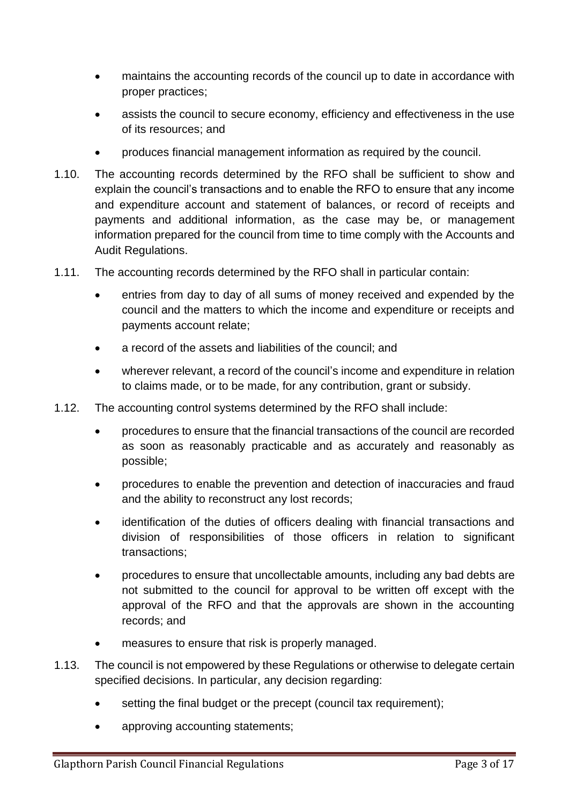- maintains the accounting records of the council up to date in accordance with proper practices;
- assists the council to secure economy, efficiency and effectiveness in the use of its resources; and
- produces financial management information as required by the council.
- 1.10. The accounting records determined by the RFO shall be sufficient to show and explain the council's transactions and to enable the RFO to ensure that any income and expenditure account and statement of balances, or record of receipts and payments and additional information, as the case may be, or management information prepared for the council from time to time comply with the Accounts and Audit Regulations.
- 1.11. The accounting records determined by the RFO shall in particular contain:
	- entries from day to day of all sums of money received and expended by the council and the matters to which the income and expenditure or receipts and payments account relate;
	- a record of the assets and liabilities of the council; and
	- wherever relevant, a record of the council's income and expenditure in relation to claims made, or to be made, for any contribution, grant or subsidy.
- 1.12. The accounting control systems determined by the RFO shall include:
	- procedures to ensure that the financial transactions of the council are recorded as soon as reasonably practicable and as accurately and reasonably as possible;
	- procedures to enable the prevention and detection of inaccuracies and fraud and the ability to reconstruct any lost records;
	- identification of the duties of officers dealing with financial transactions and division of responsibilities of those officers in relation to significant transactions;
	- procedures to ensure that uncollectable amounts, including any bad debts are not submitted to the council for approval to be written off except with the approval of the RFO and that the approvals are shown in the accounting records; and
	- measures to ensure that risk is properly managed.
- 1.13. The council is not empowered by these Regulations or otherwise to delegate certain specified decisions. In particular, any decision regarding:
	- setting the final budget or the precept (council tax requirement);
	- approving accounting statements;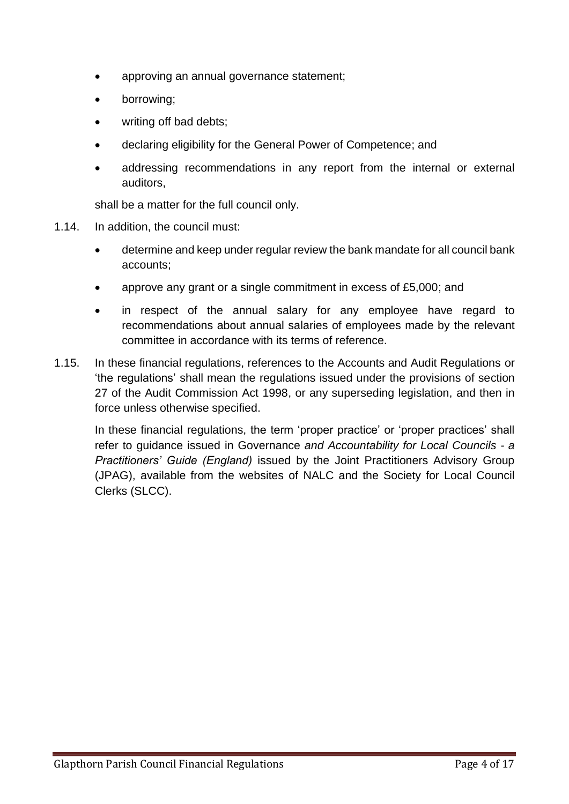- approving an annual governance statement;
- borrowing;
- writing off bad debts;
- declaring eligibility for the General Power of Competence; and
- addressing recommendations in any report from the internal or external auditors,

shall be a matter for the full council only.

- 1.14. In addition, the council must:
	- determine and keep under regular review the bank mandate for all council bank accounts;
	- approve any grant or a single commitment in excess of £5,000; and
	- in respect of the annual salary for any employee have regard to recommendations about annual salaries of employees made by the relevant committee in accordance with its terms of reference.
- 1.15. In these financial regulations, references to the Accounts and Audit Regulations or 'the regulations' shall mean the regulations issued under the provisions of section 27 of the Audit Commission Act 1998, or any superseding legislation, and then in force unless otherwise specified.

<span id="page-3-0"></span>In these financial regulations, the term 'proper practice' or 'proper practices' shall refer to guidance issued in Governance *and Accountability for Local Councils - a Practitioners' Guide (England)* issued by the Joint Practitioners Advisory Group (JPAG), available from the websites of NALC and the Society for Local Council Clerks (SLCC).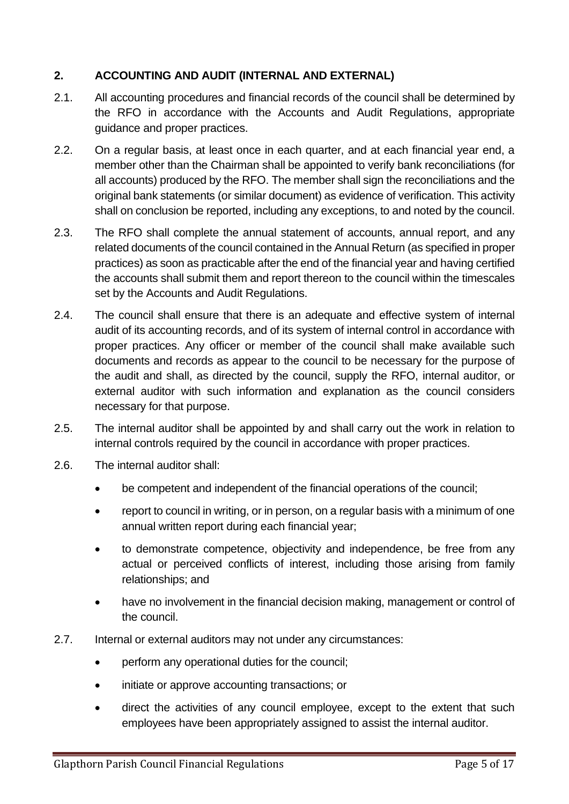# **2. ACCOUNTING AND AUDIT (INTERNAL AND EXTERNAL)**

- 2.1. All accounting procedures and financial records of the council shall be determined by the RFO in accordance with the Accounts and Audit Regulations, appropriate guidance and proper practices.
- 2.2. On a regular basis, at least once in each quarter, and at each financial year end, a member other than the Chairman shall be appointed to verify bank reconciliations (for all accounts) produced by the RFO. The member shall sign the reconciliations and the original bank statements (or similar document) as evidence of verification. This activity shall on conclusion be reported, including any exceptions, to and noted by the council.
- 2.3. The RFO shall complete the annual statement of accounts, annual report, and any related documents of the council contained in the Annual Return (as specified in proper practices) as soon as practicable after the end of the financial year and having certified the accounts shall submit them and report thereon to the council within the timescales set by the Accounts and Audit Regulations.
- 2.4. The council shall ensure that there is an adequate and effective system of internal audit of its accounting records, and of its system of internal control in accordance with proper practices. Any officer or member of the council shall make available such documents and records as appear to the council to be necessary for the purpose of the audit and shall, as directed by the council, supply the RFO, internal auditor, or external auditor with such information and explanation as the council considers necessary for that purpose.
- 2.5. The internal auditor shall be appointed by and shall carry out the work in relation to internal controls required by the council in accordance with proper practices.
- 2.6. The internal auditor shall:
	- be competent and independent of the financial operations of the council;
	- report to council in writing, or in person, on a regular basis with a minimum of one annual written report during each financial year;
	- to demonstrate competence, objectivity and independence, be free from any actual or perceived conflicts of interest, including those arising from family relationships; and
	- have no involvement in the financial decision making, management or control of the council.
- 2.7. Internal or external auditors may not under any circumstances:
	- perform any operational duties for the council;
	- initiate or approve accounting transactions; or
	- direct the activities of any council employee, except to the extent that such employees have been appropriately assigned to assist the internal auditor.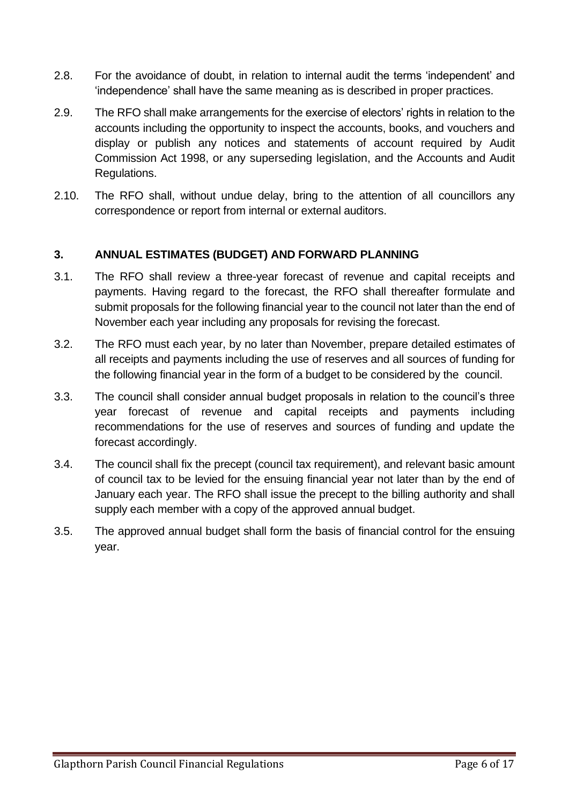- 2.8. For the avoidance of doubt, in relation to internal audit the terms 'independent' and 'independence' shall have the same meaning as is described in proper practices.
- 2.9. The RFO shall make arrangements for the exercise of electors' rights in relation to the accounts including the opportunity to inspect the accounts, books, and vouchers and display or publish any notices and statements of account required by Audit Commission Act 1998, or any superseding legislation, and the Accounts and Audit Regulations.
- 2.10. The RFO shall, without undue delay, bring to the attention of all councillors any correspondence or report from internal or external auditors.

## <span id="page-5-0"></span>**3. ANNUAL ESTIMATES (BUDGET) AND FORWARD PLANNING**

- 3.1. The RFO shall review a three-year forecast of revenue and capital receipts and payments. Having regard to the forecast, the RFO shall thereafter formulate and submit proposals for the following financial year to the council not later than the end of November each year including any proposals for revising the forecast.
- 3.2. The RFO must each year, by no later than November, prepare detailed estimates of all receipts and payments including the use of reserves and all sources of funding for the following financial year in the form of a budget to be considered by the council.
- 3.3. The council shall consider annual budget proposals in relation to the council's three year forecast of revenue and capital receipts and payments including recommendations for the use of reserves and sources of funding and update the forecast accordingly.
- 3.4. The council shall fix the precept (council tax requirement), and relevant basic amount of council tax to be levied for the ensuing financial year not later than by the end of January each year. The RFO shall issue the precept to the billing authority and shall supply each member with a copy of the approved annual budget.
- <span id="page-5-1"></span>3.5. The approved annual budget shall form the basis of financial control for the ensuing year.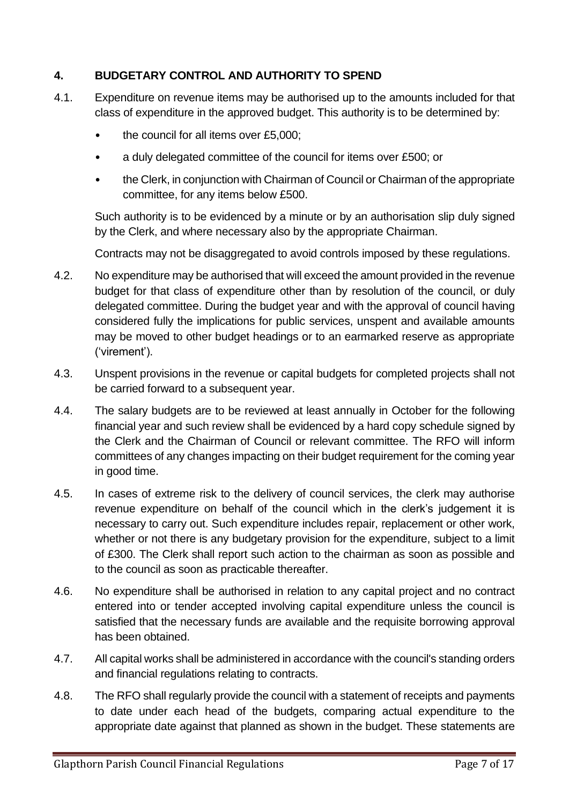## **4. BUDGETARY CONTROL AND AUTHORITY TO SPEND**

- 4.1. Expenditure on revenue items may be authorised up to the amounts included for that class of expenditure in the approved budget. This authority is to be determined by:
	- the council for all items over £5,000;
	- a duly delegated committee of the council for items over £500; or
	- the Clerk, in conjunction with Chairman of Council or Chairman of the appropriate committee, for any items below £500.

Such authority is to be evidenced by a minute or by an authorisation slip duly signed by the Clerk, and where necessary also by the appropriate Chairman.

Contracts may not be disaggregated to avoid controls imposed by these regulations.

- 4.2. No expenditure may be authorised that will exceed the amount provided in the revenue budget for that class of expenditure other than by resolution of the council, or duly delegated committee. During the budget year and with the approval of council having considered fully the implications for public services, unspent and available amounts may be moved to other budget headings or to an earmarked reserve as appropriate ('virement').
- 4.3. Unspent provisions in the revenue or capital budgets for completed projects shall not be carried forward to a subsequent year.
- 4.4. The salary budgets are to be reviewed at least annually in October for the following financial year and such review shall be evidenced by a hard copy schedule signed by the Clerk and the Chairman of Council or relevant committee. The RFO will inform committees of any changes impacting on their budget requirement for the coming year in good time.
- 4.5. In cases of extreme risk to the delivery of council services, the clerk may authorise revenue expenditure on behalf of the council which in the clerk's judgement it is necessary to carry out. Such expenditure includes repair, replacement or other work, whether or not there is any budgetary provision for the expenditure, subject to a limit of £300. The Clerk shall report such action to the chairman as soon as possible and to the council as soon as practicable thereafter.
- 4.6. No expenditure shall be authorised in relation to any capital project and no contract entered into or tender accepted involving capital expenditure unless the council is satisfied that the necessary funds are available and the requisite borrowing approval has been obtained.
- 4.7. All capital works shall be administered in accordance with the council's standing orders and financial regulations relating to contracts.
- 4.8. The RFO shall regularly provide the council with a statement of receipts and payments to date under each head of the budgets, comparing actual expenditure to the appropriate date against that planned as shown in the budget. These statements are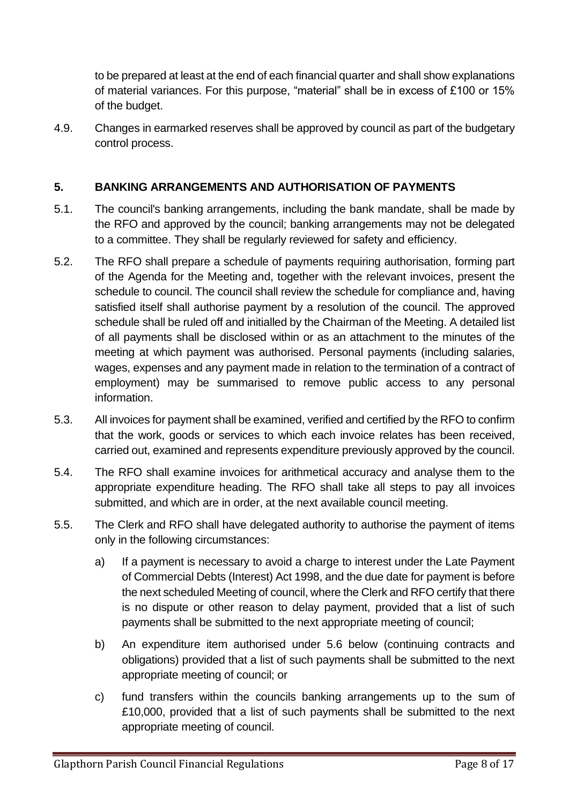to be prepared at least at the end of each financial quarter and shall show explanations of material variances. For this purpose, "material" shall be in excess of £100 or 15% of the budget.

4.9. Changes in earmarked reserves shall be approved by council as part of the budgetary control process.

# <span id="page-7-0"></span>**5. BANKING ARRANGEMENTS AND AUTHORISATION OF PAYMENTS**

- 5.1. The council's banking arrangements, including the bank mandate, shall be made by the RFO and approved by the council; banking arrangements may not be delegated to a committee. They shall be regularly reviewed for safety and efficiency.
- 5.2. The RFO shall prepare a schedule of payments requiring authorisation, forming part of the Agenda for the Meeting and, together with the relevant invoices, present the schedule to council. The council shall review the schedule for compliance and, having satisfied itself shall authorise payment by a resolution of the council. The approved schedule shall be ruled off and initialled by the Chairman of the Meeting. A detailed list of all payments shall be disclosed within or as an attachment to the minutes of the meeting at which payment was authorised. Personal payments (including salaries, wages, expenses and any payment made in relation to the termination of a contract of employment) may be summarised to remove public access to any personal information.
- 5.3. All invoices for payment shall be examined, verified and certified by the RFO to confirm that the work, goods or services to which each invoice relates has been received, carried out, examined and represents expenditure previously approved by the council.
- 5.4. The RFO shall examine invoices for arithmetical accuracy and analyse them to the appropriate expenditure heading. The RFO shall take all steps to pay all invoices submitted, and which are in order, at the next available council meeting.
- 5.5. The Clerk and RFO shall have delegated authority to authorise the payment of items only in the following circumstances:
	- a) If a payment is necessary to avoid a charge to interest under the Late Payment of Commercial Debts (Interest) Act 1998, and the due date for payment is before the next scheduled Meeting of council, where the Clerk and RFO certify that there is no dispute or other reason to delay payment, provided that a list of such payments shall be submitted to the next appropriate meeting of council;
	- b) An expenditure item authorised under 5.6 below (continuing contracts and obligations) provided that a list of such payments shall be submitted to the next appropriate meeting of council; or
	- c) fund transfers within the councils banking arrangements up to the sum of £10,000, provided that a list of such payments shall be submitted to the next appropriate meeting of council.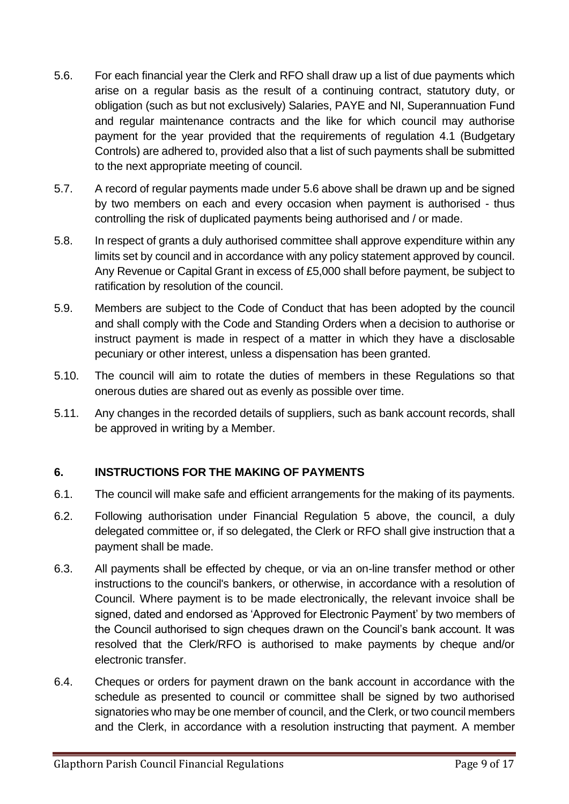- 5.6. For each financial year the Clerk and RFO shall draw up a list of due payments which arise on a regular basis as the result of a continuing contract, statutory duty, or obligation (such as but not exclusively) Salaries, PAYE and NI, Superannuation Fund and regular maintenance contracts and the like for which council may authorise payment for the year provided that the requirements of regulation 4.1 (Budgetary Controls) are adhered to, provided also that a list of such payments shall be submitted to the next appropriate meeting of council.
- 5.7. A record of regular payments made under 5.6 above shall be drawn up and be signed by two members on each and every occasion when payment is authorised - thus controlling the risk of duplicated payments being authorised and / or made.
- 5.8. In respect of grants a duly authorised committee shall approve expenditure within any limits set by council and in accordance with any policy statement approved by council. Any Revenue or Capital Grant in excess of £5,000 shall before payment, be subject to ratification by resolution of the council.
- 5.9. Members are subject to the Code of Conduct that has been adopted by the council and shall comply with the Code and Standing Orders when a decision to authorise or instruct payment is made in respect of a matter in which they have a disclosable pecuniary or other interest, unless a dispensation has been granted.
- 5.10. The council will aim to rotate the duties of members in these Regulations so that onerous duties are shared out as evenly as possible over time.
- 5.11. Any changes in the recorded details of suppliers, such as bank account records, shall be approved in writing by a Member.

# <span id="page-8-0"></span>**6. INSTRUCTIONS FOR THE MAKING OF PAYMENTS**

- 6.1. The council will make safe and efficient arrangements for the making of its payments.
- 6.2. Following authorisation under Financial Regulation 5 above, the council, a duly delegated committee or, if so delegated, the Clerk or RFO shall give instruction that a payment shall be made.
- 6.3. All payments shall be effected by cheque, or via an on-line transfer method or other instructions to the council's bankers, or otherwise, in accordance with a resolution of Council. Where payment is to be made electronically, the relevant invoice shall be signed, dated and endorsed as 'Approved for Electronic Payment' by two members of the Council authorised to sign cheques drawn on the Council's bank account. It was resolved that the Clerk/RFO is authorised to make payments by cheque and/or electronic transfer.
- 6.4. Cheques or orders for payment drawn on the bank account in accordance with the schedule as presented to council or committee shall be signed by two authorised signatories who may be one member of council, and the Clerk, or two council members and the Clerk, in accordance with a resolution instructing that payment. A member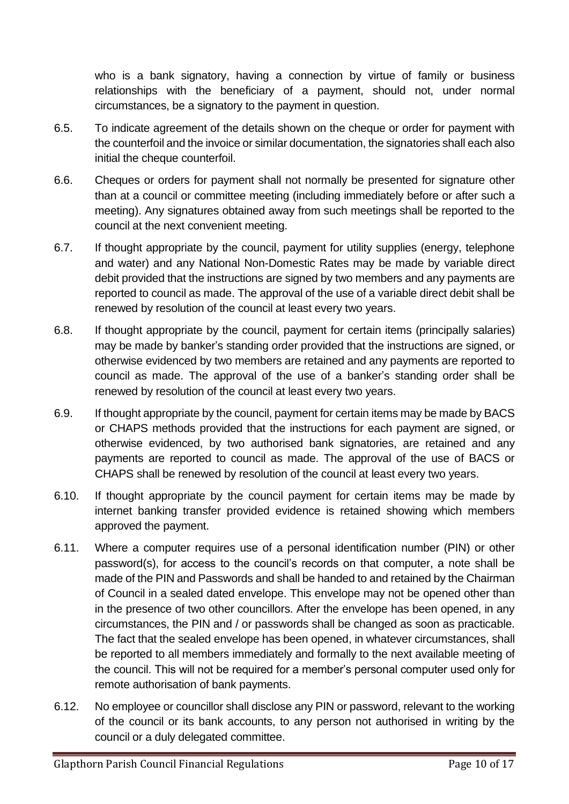who is a bank signatory, having a connection by virtue of family or business relationships with the beneficiary of a payment, should not, under normal circumstances, be a signatory to the payment in question.

- 6.5. To indicate agreement of the details shown on the cheque or order for payment with the counterfoil and the invoice or similar documentation, the signatories shall each also initial the cheque counterfoil.
- 6.6. Cheques or orders for payment shall not normally be presented for signature other than at a council or committee meeting (including immediately before or after such a meeting). Any signatures obtained away from such meetings shall be reported to the council at the next convenient meeting.
- 6.7. If thought appropriate by the council, payment for utility supplies (energy, telephone and water) and any National Non-Domestic Rates may be made by variable direct debit provided that the instructions are signed by two members and any payments are reported to council as made. The approval of the use of a variable direct debit shall be renewed by resolution of the council at least every two years.
- 6.8. If thought appropriate by the council, payment for certain items (principally salaries) may be made by banker's standing order provided that the instructions are signed, or otherwise evidenced by two members are retained and any payments are reported to council as made. The approval of the use of a banker's standing order shall be renewed by resolution of the council at least every two years.
- 6.9. If thought appropriate by the council, payment for certain items may be made by BACS or CHAPS methods provided that the instructions for each payment are signed, or otherwise evidenced, by two authorised bank signatories, are retained and any payments are reported to council as made. The approval of the use of BACS or CHAPS shall be renewed by resolution of the council at least every two years.
- 6.10. If thought appropriate by the council payment for certain items may be made by internet banking transfer provided evidence is retained showing which members approved the payment.
- 6.11. Where a computer requires use of a personal identification number (PIN) or other password(s), for access to the council's records on that computer, a note shall be made of the PIN and Passwords and shall be handed to and retained by the Chairman of Council in a sealed dated envelope. This envelope may not be opened other than in the presence of two other councillors. After the envelope has been opened, in any circumstances, the PIN and / or passwords shall be changed as soon as practicable. The fact that the sealed envelope has been opened, in whatever circumstances, shall be reported to all members immediately and formally to the next available meeting of the council. This will not be required for a member's personal computer used only for remote authorisation of bank payments.
- 6.12. No employee or councillor shall disclose any PIN or password, relevant to the working of the council or its bank accounts, to any person not authorised in writing by the council or a duly delegated committee.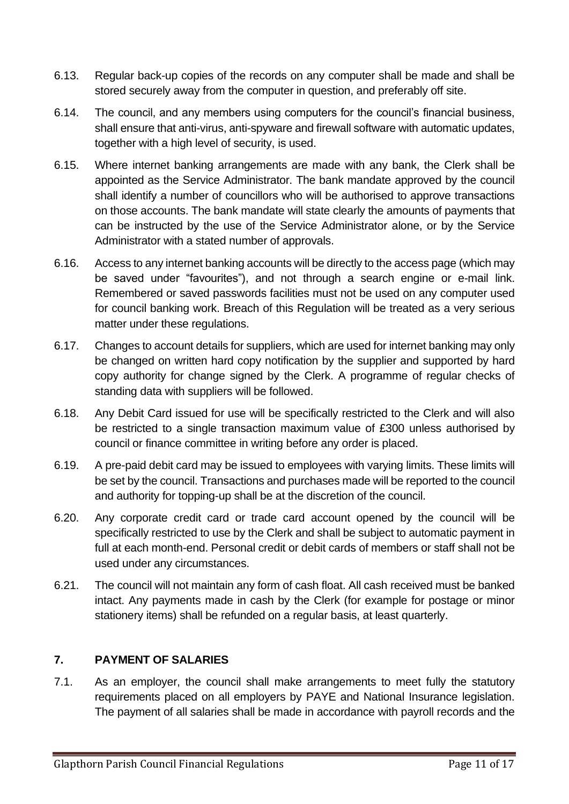- 6.13. Regular back-up copies of the records on any computer shall be made and shall be stored securely away from the computer in question, and preferably off site.
- 6.14. The council, and any members using computers for the council's financial business, shall ensure that anti-virus, anti-spyware and firewall software with automatic updates, together with a high level of security, is used.
- 6.15. Where internet banking arrangements are made with any bank, the Clerk shall be appointed as the Service Administrator. The bank mandate approved by the council shall identify a number of councillors who will be authorised to approve transactions on those accounts. The bank mandate will state clearly the amounts of payments that can be instructed by the use of the Service Administrator alone, or by the Service Administrator with a stated number of approvals.
- 6.16. Access to any internet banking accounts will be directly to the access page (which may be saved under "favourites"), and not through a search engine or e-mail link. Remembered or saved passwords facilities must not be used on any computer used for council banking work. Breach of this Regulation will be treated as a very serious matter under these regulations.
- 6.17. Changes to account details for suppliers, which are used for internet banking may only be changed on written hard copy notification by the supplier and supported by hard copy authority for change signed by the Clerk. A programme of regular checks of standing data with suppliers will be followed.
- 6.18. Any Debit Card issued for use will be specifically restricted to the Clerk and will also be restricted to a single transaction maximum value of £300 unless authorised by council or finance committee in writing before any order is placed.
- 6.19. A pre-paid debit card may be issued to employees with varying limits. These limits will be set by the council. Transactions and purchases made will be reported to the council and authority for topping-up shall be at the discretion of the council.
- 6.20. Any corporate credit card or trade card account opened by the council will be specifically restricted to use by the Clerk and shall be subject to automatic payment in full at each month-end. Personal credit or debit cards of members or staff shall not be used under any circumstances.
- 6.21. The council will not maintain any form of cash float. All cash received must be banked intact. Any payments made in cash by the Clerk (for example for postage or minor stationery items) shall be refunded on a regular basis, at least quarterly.

# <span id="page-10-0"></span>**7. PAYMENT OF SALARIES**

7.1. As an employer, the council shall make arrangements to meet fully the statutory requirements placed on all employers by PAYE and National Insurance legislation. The payment of all salaries shall be made in accordance with payroll records and the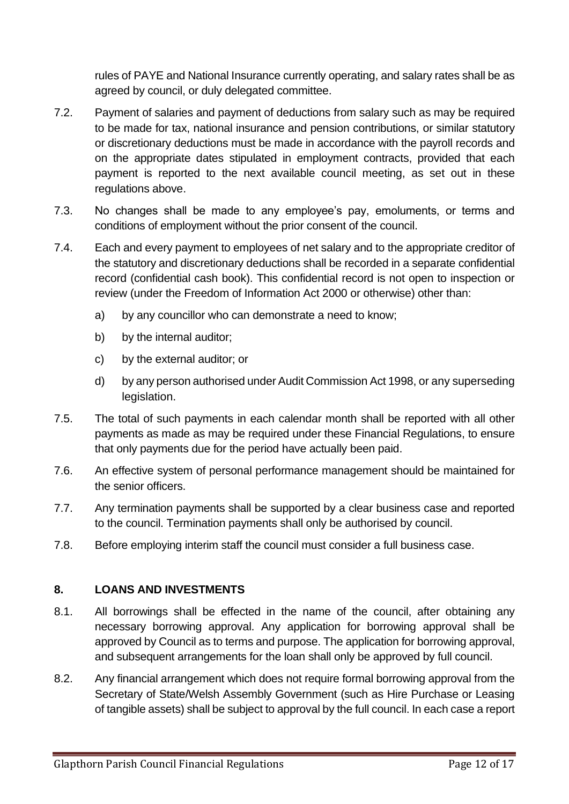rules of PAYE and National Insurance currently operating, and salary rates shall be as agreed by council, or duly delegated committee.

- 7.2. Payment of salaries and payment of deductions from salary such as may be required to be made for tax, national insurance and pension contributions, or similar statutory or discretionary deductions must be made in accordance with the payroll records and on the appropriate dates stipulated in employment contracts, provided that each payment is reported to the next available council meeting, as set out in these regulations above.
- 7.3. No changes shall be made to any employee's pay, emoluments, or terms and conditions of employment without the prior consent of the council.
- 7.4. Each and every payment to employees of net salary and to the appropriate creditor of the statutory and discretionary deductions shall be recorded in a separate confidential record (confidential cash book). This confidential record is not open to inspection or review (under the Freedom of Information Act 2000 or otherwise) other than:
	- a) by any councillor who can demonstrate a need to know;
	- b) by the internal auditor;
	- c) by the external auditor; or
	- d) by any person authorised under Audit Commission Act 1998, or any superseding legislation.
- 7.5. The total of such payments in each calendar month shall be reported with all other payments as made as may be required under these Financial Regulations, to ensure that only payments due for the period have actually been paid.
- 7.6. An effective system of personal performance management should be maintained for the senior officers.
- 7.7. Any termination payments shall be supported by a clear business case and reported to the council. Termination payments shall only be authorised by council.
- 7.8. Before employing interim staff the council must consider a full business case.

# <span id="page-11-0"></span>**8. LOANS AND INVESTMENTS**

- 8.1. All borrowings shall be effected in the name of the council, after obtaining any necessary borrowing approval. Any application for borrowing approval shall be approved by Council as to terms and purpose. The application for borrowing approval, and subsequent arrangements for the loan shall only be approved by full council.
- 8.2. Any financial arrangement which does not require formal borrowing approval from the Secretary of State/Welsh Assembly Government (such as Hire Purchase or Leasing of tangible assets) shall be subject to approval by the full council. In each case a report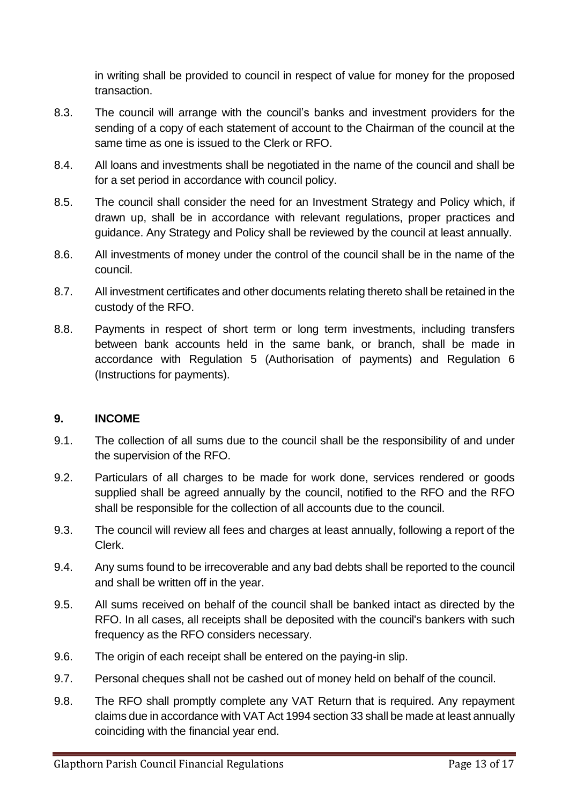in writing shall be provided to council in respect of value for money for the proposed transaction.

- 8.3. The council will arrange with the council's banks and investment providers for the sending of a copy of each statement of account to the Chairman of the council at the same time as one is issued to the Clerk or RFO.
- 8.4. All loans and investments shall be negotiated in the name of the council and shall be for a set period in accordance with council policy.
- 8.5. The council shall consider the need for an Investment Strategy and Policy which, if drawn up, shall be in accordance with relevant regulations, proper practices and guidance. Any Strategy and Policy shall be reviewed by the council at least annually.
- 8.6. All investments of money under the control of the council shall be in the name of the council.
- 8.7. All investment certificates and other documents relating thereto shall be retained in the custody of the RFO.
- 8.8. Payments in respect of short term or long term investments, including transfers between bank accounts held in the same bank, or branch, shall be made in accordance with Regulation 5 (Authorisation of payments) and Regulation 6 (Instructions for payments).

### <span id="page-12-0"></span>**9. INCOME**

- 9.1. The collection of all sums due to the council shall be the responsibility of and under the supervision of the RFO.
- 9.2. Particulars of all charges to be made for work done, services rendered or goods supplied shall be agreed annually by the council, notified to the RFO and the RFO shall be responsible for the collection of all accounts due to the council.
- 9.3. The council will review all fees and charges at least annually, following a report of the Clerk.
- 9.4. Any sums found to be irrecoverable and any bad debts shall be reported to the council and shall be written off in the year.
- 9.5. All sums received on behalf of the council shall be banked intact as directed by the RFO. In all cases, all receipts shall be deposited with the council's bankers with such frequency as the RFO considers necessary.
- 9.6. The origin of each receipt shall be entered on the paying-in slip.
- 9.7. Personal cheques shall not be cashed out of money held on behalf of the council.
- 9.8. The RFO shall promptly complete any VAT Return that is required. Any repayment claims due in accordance with VAT Act 1994 section 33 shall be made at least annually coinciding with the financial year end.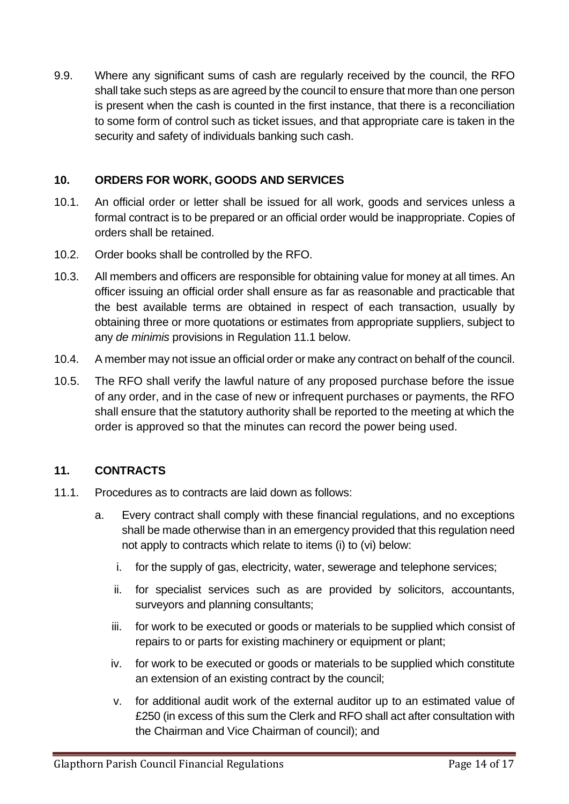9.9. Where any significant sums of cash are regularly received by the council, the RFO shall take such steps as are agreed by the council to ensure that more than one person is present when the cash is counted in the first instance, that there is a reconciliation to some form of control such as ticket issues, and that appropriate care is taken in the security and safety of individuals banking such cash.

## <span id="page-13-0"></span>**10. ORDERS FOR WORK, GOODS AND SERVICES**

- 10.1. An official order or letter shall be issued for all work, goods and services unless a formal contract is to be prepared or an official order would be inappropriate. Copies of orders shall be retained.
- 10.2. Order books shall be controlled by the RFO.
- 10.3. All members and officers are responsible for obtaining value for money at all times. An officer issuing an official order shall ensure as far as reasonable and practicable that the best available terms are obtained in respect of each transaction, usually by obtaining three or more quotations or estimates from appropriate suppliers, subject to any *de minimis* provisions in Regulation 11.1 below.
- 10.4. A member may not issue an official order or make any contract on behalf of the council.
- 10.5. The RFO shall verify the lawful nature of any proposed purchase before the issue of any order, and in the case of new or infrequent purchases or payments, the RFO shall ensure that the statutory authority shall be reported to the meeting at which the order is approved so that the minutes can record the power being used.

# <span id="page-13-1"></span>**11. CONTRACTS**

- 11.1. Procedures as to contracts are laid down as follows:
	- a. Every contract shall comply with these financial regulations, and no exceptions shall be made otherwise than in an emergency provided that this regulation need not apply to contracts which relate to items (i) to (vi) below:
		- i. for the supply of gas, electricity, water, sewerage and telephone services;
		- ii. for specialist services such as are provided by solicitors, accountants, surveyors and planning consultants;
		- iii. for work to be executed or goods or materials to be supplied which consist of repairs to or parts for existing machinery or equipment or plant;
		- iv. for work to be executed or goods or materials to be supplied which constitute an extension of an existing contract by the council;
		- v. for additional audit work of the external auditor up to an estimated value of £250 (in excess of this sum the Clerk and RFO shall act after consultation with the Chairman and Vice Chairman of council); and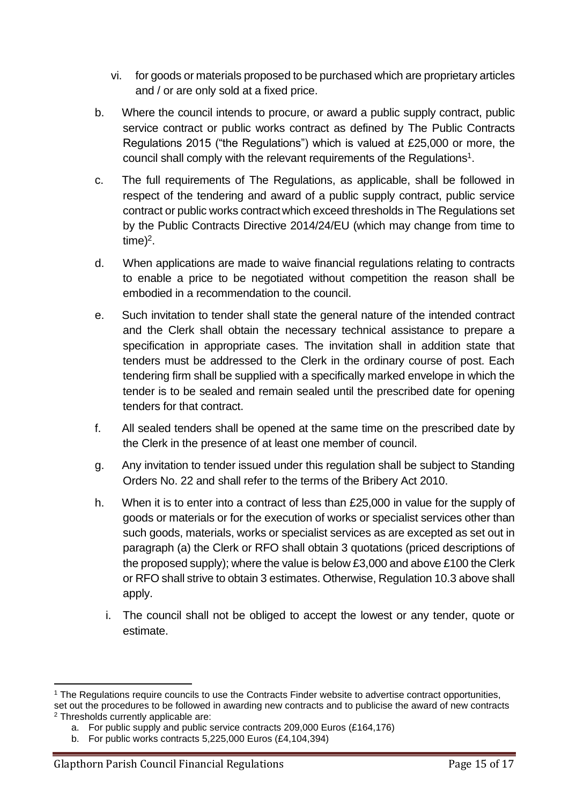- vi. for goods or materials proposed to be purchased which are proprietary articles and / or are only sold at a fixed price.
- b. Where the council intends to procure, or award a public supply contract, public service contract or public works contract as defined by The Public Contracts Regulations 2015 ("the Regulations") which is valued at £25,000 or more, the council shall comply with the relevant requirements of the Regulations<sup>1</sup>.
- c. The full requirements of The Regulations, as applicable, shall be followed in respect of the tendering and award of a public supply contract, public service contract or public works contractwhich exceed thresholds in The Regulations set by the Public Contracts Directive 2014/24/EU (which may change from time to time)<sup>2</sup>.
- d. When applications are made to waive financial regulations relating to contracts to enable a price to be negotiated without competition the reason shall be embodied in a recommendation to the council.
- e. Such invitation to tender shall state the general nature of the intended contract and the Clerk shall obtain the necessary technical assistance to prepare a specification in appropriate cases. The invitation shall in addition state that tenders must be addressed to the Clerk in the ordinary course of post. Each tendering firm shall be supplied with a specifically marked envelope in which the tender is to be sealed and remain sealed until the prescribed date for opening tenders for that contract.
- f. All sealed tenders shall be opened at the same time on the prescribed date by the Clerk in the presence of at least one member of council.
- g. Any invitation to tender issued under this regulation shall be subject to Standing Orders No. 22 and shall refer to the terms of the Bribery Act 2010.
- h. When it is to enter into a contract of less than £25,000 in value for the supply of goods or materials or for the execution of works or specialist services other than such goods, materials, works or specialist services as are excepted as set out in paragraph (a) the Clerk or RFO shall obtain 3 quotations (priced descriptions of the proposed supply); where the value is below £3,000 and above £100 the Clerk or RFO shall strive to obtain 3 estimates. Otherwise, Regulation 10.3 above shall apply.
	- i. The council shall not be obliged to accept the lowest or any tender, quote or estimate.

<sup>&</sup>lt;sup>1</sup> The Regulations require councils to use the Contracts Finder website to advertise contract opportunities, set out the procedures to be followed in awarding new contracts and to publicise the award of new contracts <sup>2</sup> Thresholds currently applicable are:

a. For public supply and public service contracts 209,000 Euros (£164,176)

b. For public works contracts 5,225,000 Euros (£4,104,394)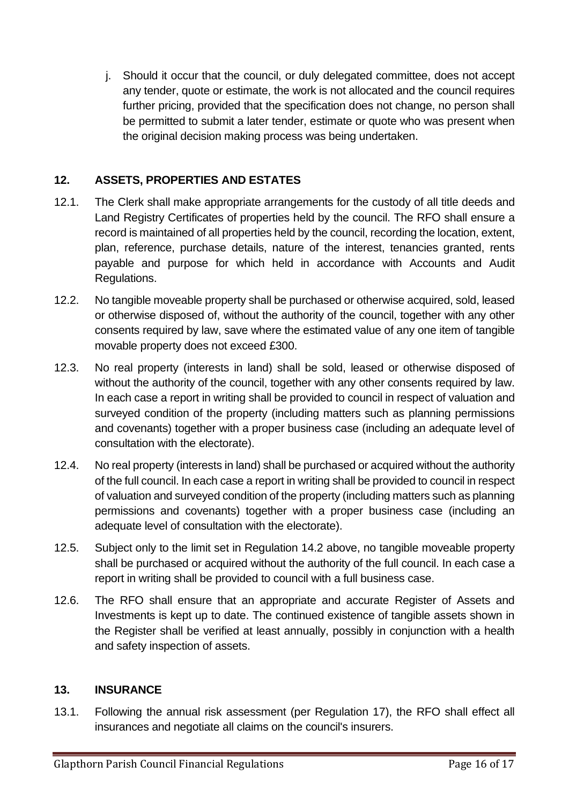j. Should it occur that the council, or duly delegated committee, does not accept any tender, quote or estimate, the work is not allocated and the council requires further pricing, provided that the specification does not change, no person shall be permitted to submit a later tender, estimate or quote who was present when the original decision making process was being undertaken.

# <span id="page-15-0"></span>**12. ASSETS, PROPERTIES AND ESTATES**

- 12.1. The Clerk shall make appropriate arrangements for the custody of all title deeds and Land Registry Certificates of properties held by the council. The RFO shall ensure a record is maintained of all properties held by the council, recording the location, extent, plan, reference, purchase details, nature of the interest, tenancies granted, rents payable and purpose for which held in accordance with Accounts and Audit Regulations.
- 12.2. No tangible moveable property shall be purchased or otherwise acquired, sold, leased or otherwise disposed of, without the authority of the council, together with any other consents required by law, save where the estimated value of any one item of tangible movable property does not exceed £300.
- 12.3. No real property (interests in land) shall be sold, leased or otherwise disposed of without the authority of the council, together with any other consents required by law. In each case a report in writing shall be provided to council in respect of valuation and surveyed condition of the property (including matters such as planning permissions and covenants) together with a proper business case (including an adequate level of consultation with the electorate).
- 12.4. No real property (interests in land) shall be purchased or acquired without the authority of the full council. In each case a report in writing shall be provided to council in respect of valuation and surveyed condition of the property (including matters such as planning permissions and covenants) together with a proper business case (including an adequate level of consultation with the electorate).
- 12.5. Subject only to the limit set in Regulation 14.2 above, no tangible moveable property shall be purchased or acquired without the authority of the full council. In each case a report in writing shall be provided to council with a full business case.
- 12.6. The RFO shall ensure that an appropriate and accurate Register of Assets and Investments is kept up to date. The continued existence of tangible assets shown in the Register shall be verified at least annually, possibly in conjunction with a health and safety inspection of assets.

### <span id="page-15-1"></span>**13. INSURANCE**

13.1. Following the annual risk assessment (per Regulation 17), the RFO shall effect all insurances and negotiate all claims on the council's insurers.